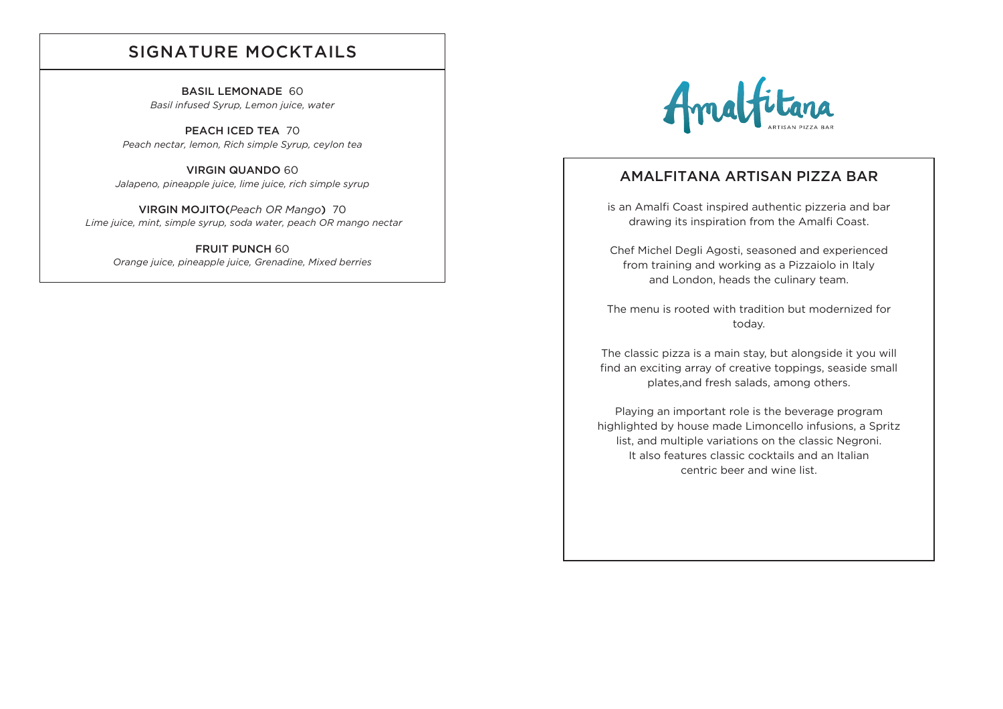#### SIGNATURE MOCKTAILS

BASIL LEMONADE 60 *Basil infused Syrup, Lemon juice, water*

PEACH ICED TEA 70 *Peach nectar, lemon, Rich simple Syrup, ceylon tea*

VIRGIN QUANDO 60 *Jalapeno, pineapple juice, lime juice, rich simple syrup*

VIRGIN MOJITO(*Peach OR Mango*) 70  *Lime juice, mint, simple syrup, soda water, peach OR mango nectar*

FRUIT PUNCH 60 *Orange juice, pineapple juice, Grenadine, Mixed berries* 



#### AMALFITANA ARTISAN PIZZA BAR

is an Amalfi Coast inspired authentic pizzeria and bar drawing its inspiration from the Amalfi Coast.

Chef Michel Degli Agosti, seasoned and experienced from training and working as a Pizzaiolo in Italy and London, heads the culinary team.

The menu is rooted with tradition but modernized for today.

The classic pizza is a main stay, but alongside it you will find an exciting array of creative toppings, seaside small plates,and fresh salads, among others.

Playing an important role is the beverage program highlighted by house made Limoncello infusions, a Spritz list, and multiple variations on the classic Negroni. It also features classic cocktails and an Italian centric beer and wine list.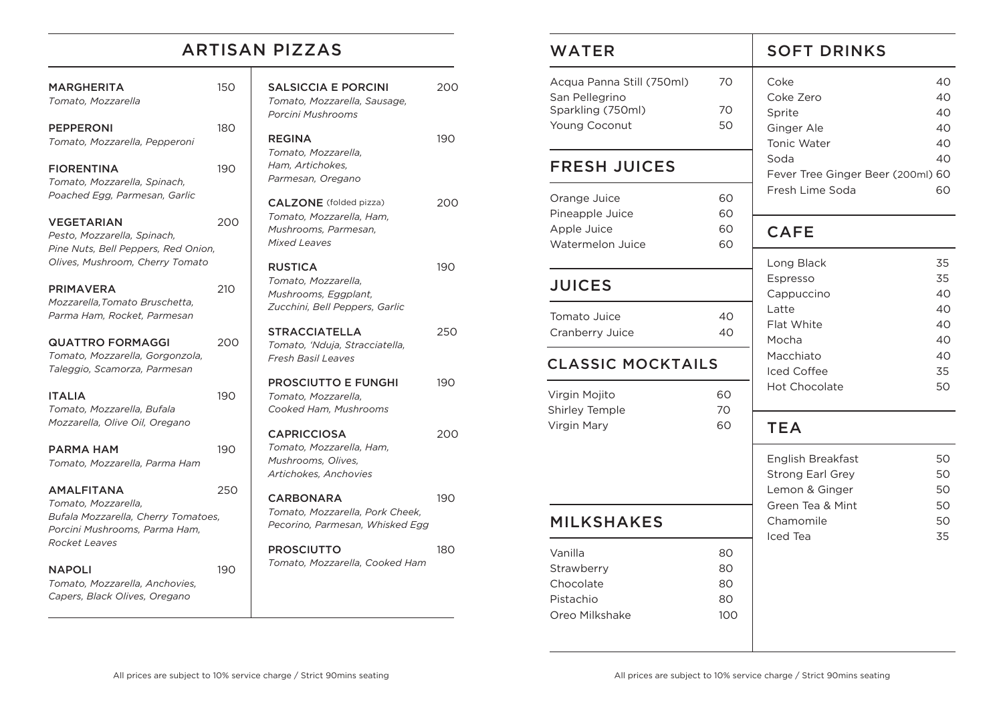## ARTISAN PIZZAS

200

190

200

190

250

190

200

190

180

| <b>MARGHERITA</b><br>Tomato, Mozzarella                                                                                           | 150 | <b>SALSICCIA E PORCINI</b><br>Tomato, Mozzarella, Sausage,<br>Porcini Mushrooms                             |
|-----------------------------------------------------------------------------------------------------------------------------------|-----|-------------------------------------------------------------------------------------------------------------|
| <b>PEPPERONI</b><br>Tomato, Mozzarella, Pepperoni                                                                                 | 180 | <b>REGINA</b><br>Tomato, Mozzarella,                                                                        |
| <b>FIORENTINA</b><br>Tomato, Mozzarella, Spinach,                                                                                 | 190 | Ham, Artichokes,<br>Parmesan, Oregano                                                                       |
| Poached Egg, Parmesan, Garlic<br><b>VEGETARIAN</b><br>Pesto, Mozzarella, Spinach,<br>Pine Nuts, Bell Peppers, Red Onion,          | 200 | <b>CALZONE</b> (folded pizza)<br>Tomato, Mozzarella, Ham,<br>Mushrooms, Parmesan,<br><b>Mixed Leaves</b>    |
| Olives, Mushroom, Cherry Tomato<br><b>PRIMAVERA</b><br>Mozzarella, Tomato Bruschetta,<br>Parma Ham, Rocket, Parmesan              | 210 | <b>RUSTICA</b><br>Tomato, Mozzarella,<br>Mushrooms, Eggplant,<br>Zucchini, Bell Peppers, Garlic             |
| <b>QUATTRO FORMAGGI</b><br>Tomato, Mozzarella, Gorgonzola,<br>Taleggio, Scamorza, Parmesan                                        | 200 | <b>STRACCIATELLA</b><br>Tomato, 'Nduja, Stracciatella,<br><b>Fresh Basil Leaves</b>                         |
| <b>ITALIA</b><br>Tomato, Mozzarella, Bufala<br>Mozzarella, Olive Oil, Oregano                                                     | 190 | <b>PROSCIUTTO E FUNGHI</b><br>Tomato, Mozzarella,<br>Cooked Ham, Mushrooms                                  |
| PARMA HAM<br>Tomato, Mozzarella, Parma Ham                                                                                        | 190 | <b>CAPRICCIOSA</b><br>Tomato, Mozzarella, Ham,<br>Mushrooms, Olives,<br>Artichokes, Anchovies               |
| <b>AMALFITANA</b><br>Tomato, Mozzarella,<br>Bufala Mozzarella, Cherry Tomatoes,<br>Porcini Mushrooms. Parma Ham.<br>Rocket Leaves | 250 | <b>CARBONARA</b><br>Tomato, Mozzarella, Pork Cheek,<br>Pecorino, Parmesan, Whisked Egg<br><b>PROSCIUTTO</b> |
| <b>NAPOLI</b><br>Tomato, Mozzarella, Anchovies,<br>Capers, Black Olives, Oregano                                                  | 190 | Tomato, Mozzarella, Cooked Ham                                                                              |

| <b>WATER</b>                                                                                             |                             | <b>SOFT DRINKS</b>                                                                 |                                  |
|----------------------------------------------------------------------------------------------------------|-----------------------------|------------------------------------------------------------------------------------|----------------------------------|
| Acqua Panna Still (750ml)<br>San Pellegrino<br>Sparkling (750ml)<br>Young Coconut<br><b>FRESH JUICES</b> | 70<br>70<br>50              | Coke<br>Coke Zero<br>Sprite<br>Ginger Ale<br><b>Tonic Water</b><br>Soda            | 40<br>40<br>40<br>40<br>40<br>40 |
| Orange Juice<br>Pineapple Juice                                                                          | 60<br>60                    | Fever Tree Ginger Beer (200ml) 60<br>Fresh Lime Soda                               | 60                               |
| Apple Juice<br>Watermelon Juice                                                                          | 60<br>60                    | <b>CAFE</b>                                                                        |                                  |
| <b>JUICES</b>                                                                                            |                             | Long Black<br>Espresso<br>Cappuccino                                               | 35<br>35<br>40                   |
| Tomato Juice<br>Cranberry Juice                                                                          | 40<br>40                    | Latte<br>Flat White<br>Mocha                                                       | 40<br>40<br>40                   |
| <b>CLASSIC MOCKTAILS</b>                                                                                 |                             | Macchiato<br><b>Iced Coffee</b>                                                    | 40<br>35                         |
| Virgin Mojito<br>Shirley Temple                                                                          | 60<br>70                    | <b>Hot Chocolate</b>                                                               | 50                               |
| Virgin Mary                                                                                              | 60                          | <b>TEA</b>                                                                         |                                  |
|                                                                                                          |                             | English Breakfast<br><b>Strong Earl Grey</b><br>Lemon & Ginger<br>Green Tea & Mint | 50<br>50<br>50                   |
| <b>MILKSHAKES</b>                                                                                        |                             | Chamomile                                                                          | 50<br>50                         |
| Vanilla<br>Strawberry<br>Chocolate<br>Pistachio<br>Oreo Milkshake                                        | 80<br>80<br>80<br>80<br>100 | Iced Tea                                                                           | 35                               |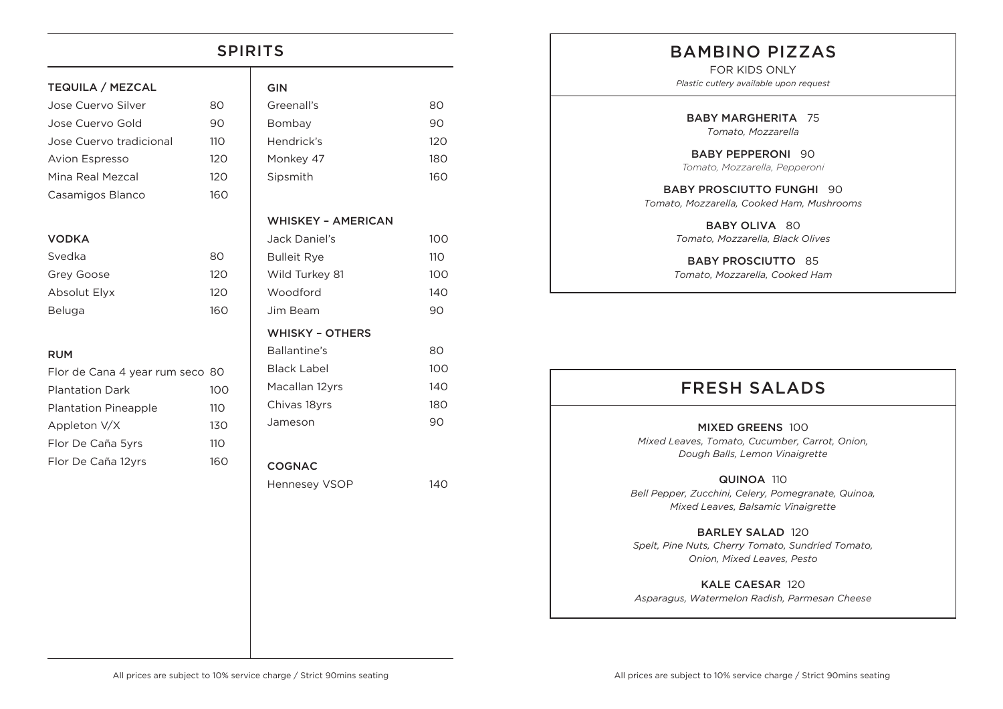# TEQUILA / MEZCAL Jose Cuervo Silver 80 Jose Cuervo Gold 90 Jose Cuervo tradicional 110 Avion Espresso 120 Mina Real Mezcal 120 Casamigos Blanco 16 VODKA Svedka 80 Grey Goose 120 Absolut Elyx 120 Beluga 160 RUM SPIRITS

| Flor de Cana 4 year rum seco 80 |                 |
|---------------------------------|-----------------|
| <b>Plantation Dark</b>          | 10 O            |
| <b>Plantation Pineapple</b>     | 110             |
| Appleton V/X                    | 130             |
| Flor De Caña 5yrs               | 11 <sub>O</sub> |
| Flor De Caña 12yrs              | 160             |

|                | <b>GIN</b>                |     |
|----------------|---------------------------|-----|
|                | Greenall's                | 80  |
| )              | Bombay                    | 90  |
| $\mathcal{C}$  | Hendrick's                | 120 |
| C              | Monkey 47                 | 180 |
| C              | Sipsmith                  | 160 |
| $\circ$        |                           |     |
|                | <b>WHISKEY - AMERICAN</b> |     |
|                | Jack Daniel's             | 100 |
|                | <b>Bulleit Rye</b>        | 110 |
| C              | Wild Turkey 81            | 100 |
| C              | Woodford                  | 140 |
| O              | Jim Beam                  | 90  |
|                | <b>WHISKY - OTHERS</b>    |     |
|                | Ballantine's              | 80  |
|                | <b>Black Label</b>        | 100 |
| 0              | Macallan 12yrs            | 140 |
| $\mathfrak{z}$ | Chivas 18yrs              | 180 |
| C              | Jameson                   | 90  |
| $\mathcal{E}$  |                           |     |
| O              | <b>COGNAC</b>             |     |
|                | <b>Hennesey VSOP</b>      | 140 |
|                |                           |     |
|                |                           |     |
|                |                           |     |
|                |                           |     |
|                |                           |     |

### BAMBINO PIZZAS

FOR KIDS ONLY *Plastic cutlery available upon request*

BABY MARGHERITA 75 *Tomato, Mozzarella*

BABY PEPPERONI 90 *Tomato, Mozzarella, Pepperoni*

BABY PROSCIUTTO FUNGHI 90 *Tomato, Mozzarella, Cooked Ham, Mushrooms*

> BABY OLIVA 80 *Tomato, Mozzarella, Black Olives*

BABY PROSCIUTTO 85 *Tomato, Mozzarella, Cooked Ham*

### FRESH SALADS

MIXED GREENS 100 *Mixed Leaves, Tomato, Cucumber, Carrot, Onion, Dough Balls, Lemon Vinaigrette*

QUINOA 110 *Bell Pepper, Zucchini, Celery, Pomegranate, Quinoa, Mixed Leaves, Balsamic Vinaigrette*

BARLEY SALAD 120 *Spelt, Pine Nuts, Cherry Tomato, Sundried Tomato, Onion, Mixed Leaves, Pesto*

KALE CAESAR 120 *Asparagus, Watermelon Radish, Parmesan Cheese*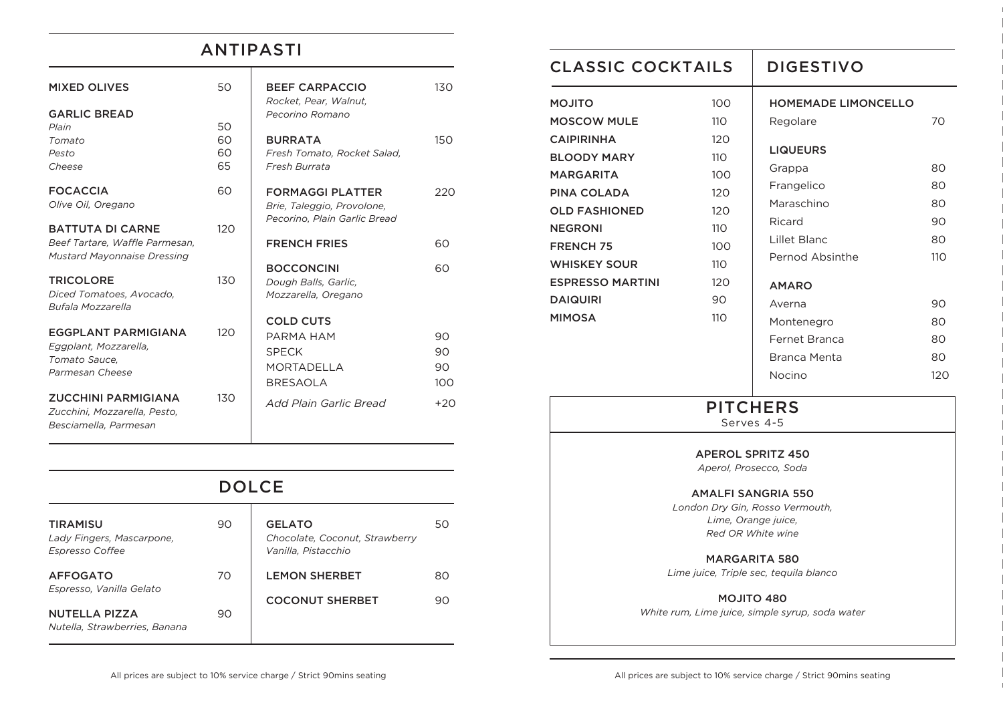## ANTIPASTI

| <b>MIXED OLIVES</b>                                                                             | 50             | <b>BEEF CARPACCIO</b>                                                                 | 130 <sub>15</sub>     |
|-------------------------------------------------------------------------------------------------|----------------|---------------------------------------------------------------------------------------|-----------------------|
| <b>GARLIC BREAD</b><br>Plain                                                                    | 50             | Rocket, Pear, Walnut,<br>Pecorino Romano                                              |                       |
| Tomato<br>Pesto<br>Cheese                                                                       | 60<br>60<br>65 | <b>BURRATA</b><br>Fresh Tomato, Rocket Salad,<br>Fresh Burrata                        | 150                   |
| <b>FOCACCIA</b><br>Olive Oil, Oregano                                                           | 60             | <b>FORMAGGI PLATTER</b><br>Brie, Taleggio, Provolone,<br>Pecorino, Plain Garlic Bread | 220                   |
| <b>BATTUTA DI CARNE</b><br>Beef Tartare, Waffle Parmesan,<br><b>Mustard Mayonnaise Dressing</b> | 120            | <b>FRENCH FRIES</b>                                                                   | 60                    |
| <b>TRICOLORE</b><br>Diced Tomatoes, Avocado,<br><b>Bufala Mozzarella</b>                        | 130            | <b>BOCCONCINI</b><br>Dough Balls, Garlic,<br>Mozzarella, Oregano                      | 60                    |
| <b>EGGPLANT PARMIGIANA</b><br>Eggplant, Mozzarella,<br>Tomato Sauce,<br>Parmesan Cheese         | 120            | <b>COLD CUTS</b><br>PARMA HAM<br><b>SPECK</b><br><b>MORTADELLA</b><br><b>BRESAOLA</b> | 90<br>90<br>90<br>100 |
| <b>ZUCCHINI PARMIGIANA</b><br>Zucchini, Mozzarella, Pesto,<br>Besciamella, Parmesan             | 130            | Add Plain Garlic Bread                                                                | $+20$                 |

| <b>DOLCE</b>                                                           |    |                                                                        |    |
|------------------------------------------------------------------------|----|------------------------------------------------------------------------|----|
| <b>TIRAMISU</b><br>Lady Fingers, Mascarpone,<br><b>Espresso Coffee</b> | 90 | <b>GELATO</b><br>Chocolate, Coconut, Strawberry<br>Vanilla, Pistacchio | 50 |
| <b>AFFOGATO</b>                                                        | 70 | <b>LEMON SHERBET</b>                                                   | 80 |
| Espresso, Vanilla Gelato                                               |    | <b>COCONUT SHERBET</b>                                                 | 90 |
| <b>NUTELLA PIZZA</b><br>Nutella, Strawberries, Banana                  | 90 |                                                                        |    |

| <b>CLASSIC COCKTAILS</b>                                                                                                                                                                                                                                              |                                                                                        | <b>DIGESTIVO</b>                                                                                                                                                                                                                              |                                                                        |
|-----------------------------------------------------------------------------------------------------------------------------------------------------------------------------------------------------------------------------------------------------------------------|----------------------------------------------------------------------------------------|-----------------------------------------------------------------------------------------------------------------------------------------------------------------------------------------------------------------------------------------------|------------------------------------------------------------------------|
| <b>MOJITO</b><br><b>MOSCOW MULE</b><br><b>CAIPIRINHA</b><br><b>BLOODY MARY</b><br><b>MARGARITA</b><br>PINA COLADA<br><b>OLD FASHIONED</b><br><b>NEGRONI</b><br><b>FRENCH 75</b><br><b>WHISKEY SOUR</b><br><b>ESPRESSO MARTINI</b><br><b>DAIQUIRI</b><br><b>MIMOSA</b> | 100<br>110<br>120<br>110<br>100<br>120<br>120<br>110<br>100<br>110<br>120<br>90<br>110 | <b>HOMEMADE LIMONCELLO</b><br>Regolare<br><b>LIQUEURS</b><br>Grappa<br>Frangelico<br>Maraschino<br>Ricard<br>Lillet Blanc<br>Pernod Absinthe<br><b>AMARO</b><br>Averna<br>Montenegro<br><b>Fernet Branca</b><br><b>Branca Menta</b><br>Nocino | 70<br>80<br>80<br>80<br>90<br>80<br>110<br>90<br>80<br>80<br>80<br>120 |
|                                                                                                                                                                                                                                                                       |                                                                                        | <b>PITCHERS</b><br>Serves 4-5<br><b>APEROL SPRITZ 450</b><br>Aperol, Prosecco, Soda<br><b>AMALFI SANGRIA 550</b><br>London Dry Gin, Rosso Vermouth,                                                                                           |                                                                        |

*Red OR White wine*

MARGARITA 580 *Lime juice, Triple sec, tequila blanco*

MOJITO 480 *White rum, Lime juice, simple syrup, soda water*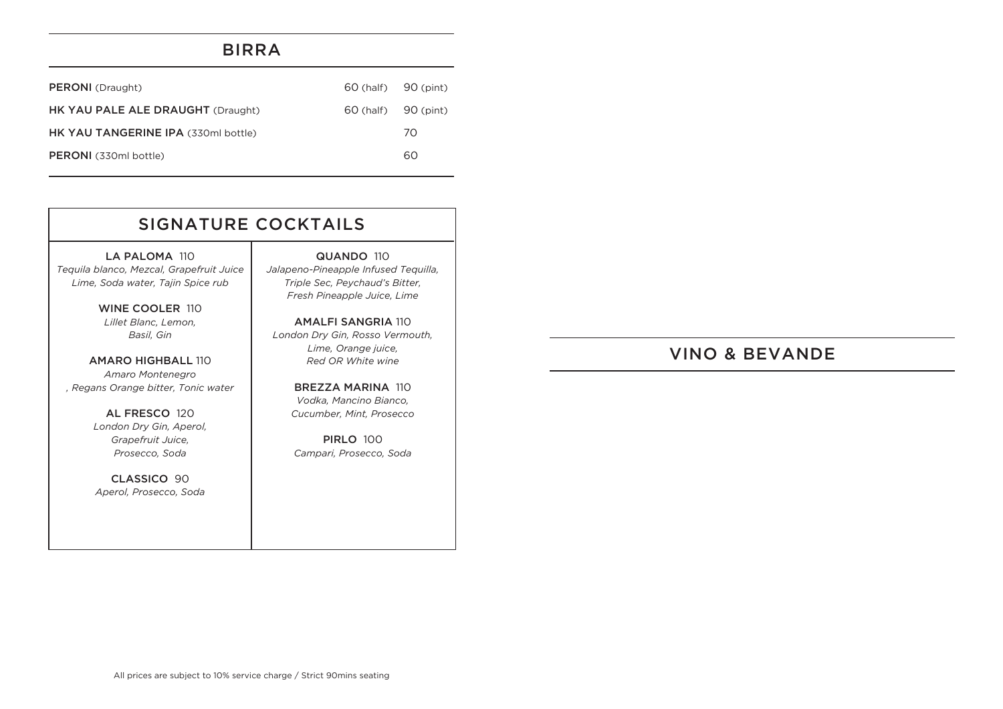#### BIRRA

| <b>PERONI</b> (Draught)             | 60 (half) 90 (pint) |    |
|-------------------------------------|---------------------|----|
| HK YAU PALE ALE DRAUGHT (Draught)   | 60 (half) 90 (pint) |    |
| HK YAU TANGERINE IPA (330ml bottle) |                     | 70 |
| <b>PERONI</b> (330ml bottle)        |                     | 60 |

# SIGNATURE COCKTAILS

LA PALOMA 110 *Tequila blanco, Mezcal, Grapefruit Juice Lime, Soda water, Tajin Spice rub*

> WINE COOLER 110 *Lillet Blanc, Lemon, Basil, Gin*

AMARO HIGHBALL 110 *Amaro Montenegro , Regans Orange bitter, Tonic water*

> AL FRESCO 120 *London Dry Gin, Aperol, Grapefruit Juice, Prosecco, Soda*

CLASSICO 90 *Aperol, Prosecco, Soda*

QUANDO 110 *Jalapeno-Pineapple Infused Tequilla, Triple Sec, Peychaud's Bitter, Fresh Pineapple Juice, Lime*

AMALFI SANGRIA 110 *London Dry Gin, Rosso Vermouth, Lime, Orange juice, Red OR White wine*

> BREZZA MARINA 110 *Vodka, Mancino Bianco, Cucumber, Mint, Prosecco*

PIRLO 100 *Campari, Prosecco, Soda*

### VINO & BEVANDE